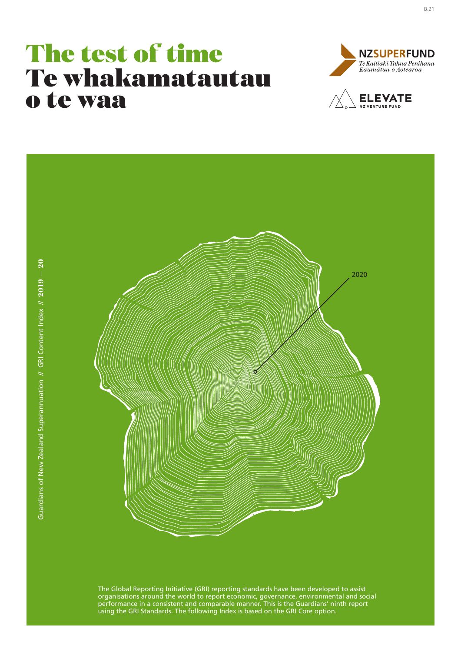# The test of time Te whakamatautau o te waa





The Global Reporting Initiative (GRI) reporting standards have been developed to assist organisations around the world to report economic, governance, environmental and social performance in a consistent and comparable manner. This is the Guardians' ninth report using the GRI Standards. The following Index is based on the GRI Core option.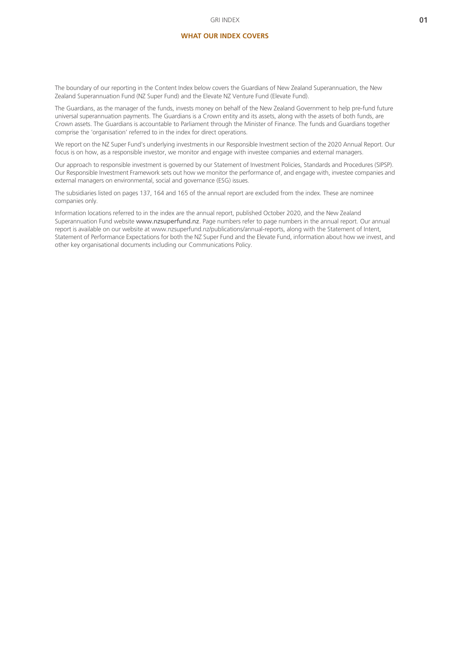#### **WHAT OUR INDEX COVERS**

The boundary of our reporting in the Content Index below covers the Guardians of New Zealand Superannuation, the New Zealand Superannuation Fund (NZ Super Fund) and the Elevate NZ Venture Fund (Elevate Fund).

The Guardians, as the manager of the funds, invests money on behalf of the New Zealand Government to help pre-fund future universal superannuation payments. The Guardians is a Crown entity and its assets, along with the assets of both funds, are Crown assets. The Guardians is accountable to Parliament through the Minister of Finance. The funds and Guardians together comprise the 'organisation' referred to in the index for direct operations.

We report on the NZ Super Fund's underlying investments in our Responsible Investment section of the 2020 Annual Report. Our focus is on how, as a responsible investor, we monitor and engage with investee companies and external managers.

Our approach to responsible investment is governed by our Statement of Investment Policies, Standards and Procedures (SIPSP). Our Responsible Investment Framework sets out how we monitor the performance of, and engage with, investee companies and external managers on environmental, social and governance (ESG) issues.

The subsidiaries listed on pages 137, 164 and 165 of the annual report are excluded from the index. These are nominee companies only.

Information locations referred to in the index are the annual report, published October 2020, and the New Zealand Superannuation Fund website [www.nzsuperfund.nz](https://www.nzsuperfund.co.nz). Page numbers refer to page numbers in the annual report. Our annual report is available on our website at www.nzsuperfund.nz/publications/annual-reports, along with the Statement of Intent, Statement of Performance Expectations for both the NZ Super Fund and the Elevate Fund, information about how we invest, and other key organisational documents including our Communications Policy.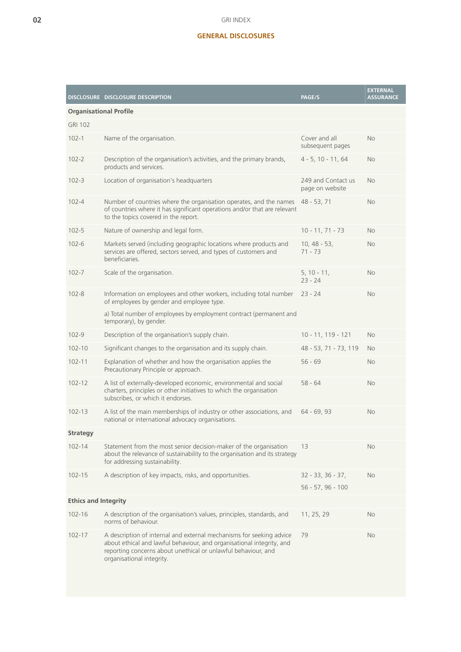## **GENERAL DISCLOSURES**

|                               | DISCLOSURE DISCLOSURE DESCRIPTION                                                                                                                                                                                                           | <b>PAGE/S</b>                         | <b>EXTERNAL</b><br><b>ASSURANCE</b> |
|-------------------------------|---------------------------------------------------------------------------------------------------------------------------------------------------------------------------------------------------------------------------------------------|---------------------------------------|-------------------------------------|
| <b>Organisational Profile</b> |                                                                                                                                                                                                                                             |                                       |                                     |
| <b>GRI 102</b>                |                                                                                                                                                                                                                                             |                                       |                                     |
| $102 - 1$                     | Name of the organisation.                                                                                                                                                                                                                   | Cover and all<br>subsequent pages     | <b>No</b>                           |
| $102 - 2$                     | Description of the organisation's activities, and the primary brands,<br>products and services.                                                                                                                                             | $4 - 5$ , 10 - 11, 64                 | <b>No</b>                           |
| $102 - 3$                     | Location of organisation's headquarters                                                                                                                                                                                                     | 249 and Contact us<br>page on website | <b>No</b>                           |
| $102 - 4$                     | Number of countries where the organisation operates, and the names<br>of countries where it has significant operations and/or that are relevant<br>to the topics covered in the report.                                                     | 48 - 53, 71                           | <b>No</b>                           |
| $102 - 5$                     | Nature of ownership and legal form.                                                                                                                                                                                                         | $10 - 11, 71 - 73$                    | <b>No</b>                           |
| $102 - 6$                     | Markets served (including geographic locations where products and<br>services are offered, sectors served, and types of customers and<br>beneficiaries.                                                                                     | $10, 48 - 53,$<br>$71 - 73$           | No                                  |
| $102 - 7$                     | Scale of the organisation.                                                                                                                                                                                                                  | $5, 10 - 11,$<br>$23 - 24$            | <b>No</b>                           |
| $102 - 8$                     | Information on employees and other workers, including total number<br>of employees by gender and employee type.                                                                                                                             | $23 - 24$                             | <b>No</b>                           |
|                               | a) Total number of employees by employment contract (permanent and<br>temporary), by gender.                                                                                                                                                |                                       |                                     |
| $102 - 9$                     | Description of the organisation's supply chain.                                                                                                                                                                                             | $10 - 11, 119 - 121$                  | <b>No</b>                           |
| $102 - 10$                    | Significant changes to the organisation and its supply chain.                                                                                                                                                                               | 48 - 53, 71 - 73, 119                 | <b>No</b>                           |
| $102 - 11$                    | Explanation of whether and how the organisation applies the<br>Precautionary Principle or approach.                                                                                                                                         | $56 - 69$                             | <b>No</b>                           |
| $102 - 12$                    | A list of externally-developed economic, environmental and social<br>charters, principles or other initiatives to which the organisation<br>subscribes, or which it endorses.                                                               | $58 - 64$                             | <b>No</b>                           |
| $102 - 13$                    | A list of the main memberships of industry or other associations, and<br>national or international advocacy organisations.                                                                                                                  | $64 - 69, 93$                         | <b>No</b>                           |
| <b>Strategy</b>               |                                                                                                                                                                                                                                             |                                       |                                     |
| $102 - 14$                    | Statement from the most senior decision-maker of the organisation<br>about the relevance of sustainability to the organisation and its strategy<br>for addressing sustainability.                                                           | 13                                    | No                                  |
| $102 - 15$                    | A description of key impacts, risks, and opportunities.                                                                                                                                                                                     | $32 - 33, 36 - 37,$                   | No.                                 |
|                               |                                                                                                                                                                                                                                             | $56 - 57, 96 - 100$                   |                                     |
| <b>Ethics and Integrity</b>   |                                                                                                                                                                                                                                             |                                       |                                     |
| $102 - 16$                    | A description of the organisation's values, principles, standards, and<br>norms of behaviour.                                                                                                                                               | 11, 25, 29                            | No.                                 |
| $102 - 17$                    | A description of internal and external mechanisms for seeking advice<br>about ethical and lawful behaviour, and organisational integrity, and<br>reporting concerns about unethical or unlawful behaviour, and<br>organisational integrity. | 79                                    | No.                                 |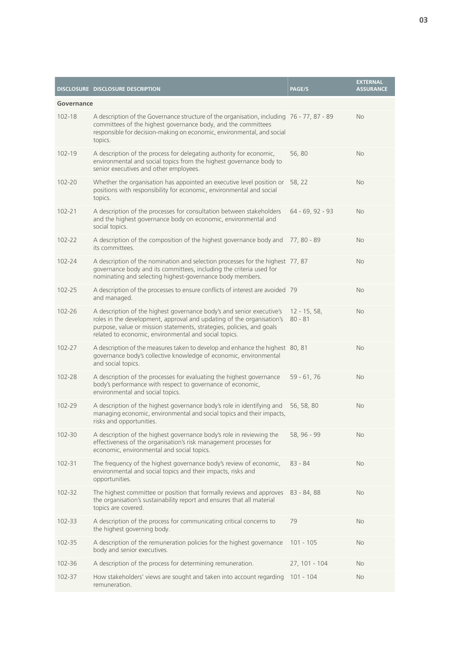|            | DISCLOSURE DISCLOSURE DESCRIPTION                                                                                                                                                                                                                                                | <b>PAGE/S</b>               | <b>EXTERNAL</b><br><b>ASSURANCE</b> |
|------------|----------------------------------------------------------------------------------------------------------------------------------------------------------------------------------------------------------------------------------------------------------------------------------|-----------------------------|-------------------------------------|
| Governance |                                                                                                                                                                                                                                                                                  |                             |                                     |
| 102-18     | A description of the Governance structure of the organisation, including 76 - 77, 87 - 89<br>committees of the highest governance body, and the committees<br>responsible for decision-making on economic, environmental, and social<br>topics.                                  |                             | No                                  |
| 102-19     | A description of the process for delegating authority for economic,<br>environmental and social topics from the highest governance body to<br>senior executives and other employees.                                                                                             | 56,80                       | No                                  |
| $102 - 20$ | Whether the organisation has appointed an executive level position or<br>positions with responsibility for economic, environmental and social<br>topics.                                                                                                                         | 58, 22                      | No                                  |
| $102 - 21$ | A description of the processes for consultation between stakeholders<br>and the highest governance body on economic, environmental and<br>social topics.                                                                                                                         | $64 - 69, 92 - 93$          | <b>No</b>                           |
| 102-22     | A description of the composition of the highest governance body and<br>its committees.                                                                                                                                                                                           | 77, 80 - 89                 | No                                  |
| 102-24     | A description of the nomination and selection processes for the highest 77, 87<br>governance body and its committees, including the criteria used for<br>nominating and selecting highest-governance body members.                                                               |                             | No                                  |
| $102 - 25$ | A description of the processes to ensure conflicts of interest are avoided 79<br>and managed.                                                                                                                                                                                    |                             | No                                  |
| 102-26     | A description of the highest governance body's and senior executive's<br>roles in the development, approval and updating of the organisation's<br>purpose, value or mission statements, strategies, policies, and goals<br>related to economic, environmental and social topics. | $12 - 15, 58,$<br>$80 - 81$ | No                                  |
| 102-27     | A description of the measures taken to develop and enhance the highest 80, 81<br>governance body's collective knowledge of economic, environmental<br>and social topics.                                                                                                         |                             | No                                  |
| 102-28     | A description of the processes for evaluating the highest governance<br>body's performance with respect to governance of economic,<br>environmental and social topics.                                                                                                           | $59 - 61, 76$               | No                                  |
| 102-29     | A description of the highest governance body's role in identifying and<br>managing economic, environmental and social topics and their impacts,<br>risks and opportunities.                                                                                                      | 56, 58, 80                  | No                                  |
| 102-30     | A description of the highest governance body's role in reviewing the<br>effectiveness of the organisation's risk management processes for<br>economic, environmental and social topics.                                                                                          | 58, 96 - 99                 | No                                  |
| $102 - 31$ | The frequency of the highest governance body's review of economic,<br>environmental and social topics and their impacts, risks and<br>opportunities.                                                                                                                             | $83 - 84$                   | No                                  |
| 102-32     | The highest committee or position that formally reviews and approves<br>the organisation's sustainability report and ensures that all material<br>topics are covered.                                                                                                            | 83 - 84, 88                 | No                                  |
| 102-33     | A description of the process for communicating critical concerns to<br>the highest governing body.                                                                                                                                                                               | 79                          | No                                  |
| 102-35     | A description of the remuneration policies for the highest governance<br>body and senior executives.                                                                                                                                                                             | $101 - 105$                 | No                                  |
| 102-36     | A description of the process for determining remuneration.                                                                                                                                                                                                                       | 27, 101 - 104               | No                                  |
| 102-37     | How stakeholders' views are sought and taken into account regarding<br>remuneration.                                                                                                                                                                                             | $101 - 104$                 | No                                  |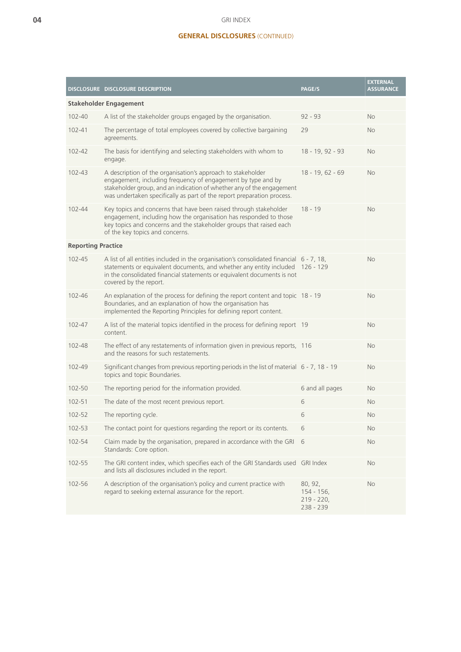### GRI INDEX

## **GENERAL DISCLOSURES** (CONTINUED)

|                               | <b>DISCLOSURE DISCLOSURE DESCRIPTION</b>                                                                                                                                                                                                                                         | PAGE/S                                                | <b>EXTERNAL</b><br><b>ASSURANCE</b> |
|-------------------------------|----------------------------------------------------------------------------------------------------------------------------------------------------------------------------------------------------------------------------------------------------------------------------------|-------------------------------------------------------|-------------------------------------|
| <b>Stakeholder Engagement</b> |                                                                                                                                                                                                                                                                                  |                                                       |                                     |
| $102 - 40$                    | A list of the stakeholder groups engaged by the organisation.                                                                                                                                                                                                                    | $92 - 93$                                             | <b>No</b>                           |
| $102 - 41$                    | The percentage of total employees covered by collective bargaining<br>agreements.                                                                                                                                                                                                | 29                                                    | <b>No</b>                           |
| $102 - 42$                    | The basis for identifying and selecting stakeholders with whom to<br>engage.                                                                                                                                                                                                     | 18 - 19, 92 - 93                                      | <b>No</b>                           |
| $102 - 43$                    | A description of the organisation's approach to stakeholder<br>engagement, including frequency of engagement by type and by<br>stakeholder group, and an indication of whether any of the engagement<br>was undertaken specifically as part of the report preparation process.   | $18 - 19, 62 - 69$                                    | <b>No</b>                           |
| $102 - 44$                    | Key topics and concerns that have been raised through stakeholder<br>engagement, including how the organisation has responded to those<br>key topics and concerns and the stakeholder groups that raised each<br>of the key topics and concerns.                                 | $18 - 19$                                             | <b>No</b>                           |
| <b>Reporting Practice</b>     |                                                                                                                                                                                                                                                                                  |                                                       |                                     |
| $102 - 45$                    | A list of all entities included in the organisation's consolidated financial $6 - 7$ , 18,<br>statements or equivalent documents, and whether any entity included 126 - 129<br>in the consolidated financial statements or equivalent documents is not<br>covered by the report. |                                                       | <b>No</b>                           |
| $102 - 46$                    | An explanation of the process for defining the report content and topic 18 - 19<br>Boundaries, and an explanation of how the organisation has<br>implemented the Reporting Principles for defining report content.                                                               |                                                       | <b>No</b>                           |
| $102 - 47$                    | A list of the material topics identified in the process for defining report 19<br>content.                                                                                                                                                                                       |                                                       | <b>No</b>                           |
| 102-48                        | The effect of any restatements of information given in previous reports, 116<br>and the reasons for such restatements.                                                                                                                                                           |                                                       | <b>No</b>                           |
| 102-49                        | Significant changes from previous reporting periods in the list of material 6 - 7, 18 - 19<br>topics and topic Boundaries.                                                                                                                                                       |                                                       | <b>No</b>                           |
| 102-50                        | The reporting period for the information provided.                                                                                                                                                                                                                               | 6 and all pages                                       | <b>No</b>                           |
| $102 - 51$                    | The date of the most recent previous report.                                                                                                                                                                                                                                     | 6                                                     | <b>No</b>                           |
| 102-52                        | The reporting cycle.                                                                                                                                                                                                                                                             | 6                                                     | <b>No</b>                           |
| 102-53                        | The contact point for questions regarding the report or its contents.                                                                                                                                                                                                            | 6                                                     | No                                  |
| 102-54                        | Claim made by the organisation, prepared in accordance with the GRI<br>Standards: Core option.                                                                                                                                                                                   | 6                                                     | No                                  |
| 102-55                        | The GRI content index, which specifies each of the GRI Standards used GRI Index<br>and lists all disclosures included in the report.                                                                                                                                             |                                                       | No                                  |
| 102-56                        | A description of the organisation's policy and current practice with<br>regard to seeking external assurance for the report.                                                                                                                                                     | 80, 92,<br>$154 - 156$ ,<br>$219 - 220,$<br>238 - 239 | No                                  |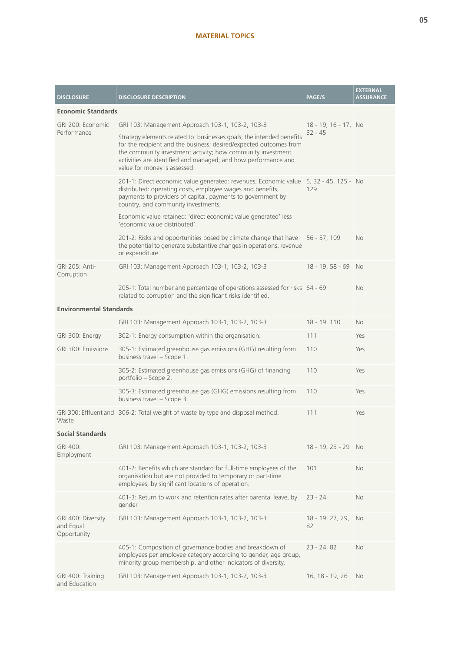## **MATERIAL TOPICS**

| <b>DISCLOSURE</b>                              | <b>DISCLOSURE DESCRIPTION</b>                                                                                                                                                                                                                                                                                | <b>PAGE/S</b>            | <b>EXTERNAL</b><br><b>ASSURANCE</b> |
|------------------------------------------------|--------------------------------------------------------------------------------------------------------------------------------------------------------------------------------------------------------------------------------------------------------------------------------------------------------------|--------------------------|-------------------------------------|
| <b>Economic Standards</b>                      |                                                                                                                                                                                                                                                                                                              |                          |                                     |
| GRI 200: Economic                              | GRI 103: Management Approach 103-1, 103-2, 103-3                                                                                                                                                                                                                                                             | 18 - 19, 16 - 17, No     |                                     |
| Performance                                    | Strategy elements related to: businesses goals; the intended benefits<br>for the recipient and the business; desired/expected outcomes from<br>the community investment activity; how community investment<br>activities are identified and managed; and how performance and<br>value for money is assessed. | $32 - 45$                |                                     |
|                                                | 201-1: Direct economic value generated: revenues; Economic value 5, 32 - 45, 125 - No<br>distributed: operating costs, employee wages and benefits,<br>payments to providers of capital, payments to government by<br>country, and community investments;                                                    | 129                      |                                     |
|                                                | Economic value retained: 'direct economic value generated' less<br>'economic value distributed'.                                                                                                                                                                                                             |                          |                                     |
|                                                | 201-2: Risks and opportunities posed by climate change that have<br>the potential to generate substantive changes in operations, revenue<br>or expenditure.                                                                                                                                                  | $56 - 57, 109$           | <b>No</b>                           |
| GRI 205: Anti-<br>Corruption                   | GRI 103: Management Approach 103-1, 103-2, 103-3                                                                                                                                                                                                                                                             | $18 - 19, 58 - 69$       | <b>No</b>                           |
|                                                | 205-1: Total number and percentage of operations assessed for risks 64 - 69<br>related to corruption and the significant risks identified.                                                                                                                                                                   |                          | No                                  |
| <b>Environmental Standards</b>                 |                                                                                                                                                                                                                                                                                                              |                          |                                     |
|                                                | GRI 103: Management Approach 103-1, 103-2, 103-3                                                                                                                                                                                                                                                             | 18 - 19, 110             | <b>No</b>                           |
| GRI 300: Energy                                | 302-1: Energy consumption within the organisation.                                                                                                                                                                                                                                                           | 111                      | Yes                                 |
| GRI 300: Emissions                             | 305-1: Estimated greenhouse gas emissions (GHG) resulting from<br>business travel - Scope 1.                                                                                                                                                                                                                 | 110                      | Yes                                 |
|                                                | 305-2: Estimated greenhouse gas emissions (GHG) of financing<br>portfolio - Scope 2.                                                                                                                                                                                                                         | 110                      | Yes                                 |
|                                                | 305-3: Estimated greenhouse gas (GHG) emissions resulting from<br>business travel - Scope 3.                                                                                                                                                                                                                 | 110                      | Yes                                 |
| Waste                                          | GRI 300: Effluent and 306-2: Total weight of waste by type and disposal method.                                                                                                                                                                                                                              | 111                      | Yes                                 |
| <b>Social Standards</b>                        |                                                                                                                                                                                                                                                                                                              |                          |                                     |
| GRI 400:<br>Employment                         | GRI 103: Management Approach 103-1, 103-2, 103-3                                                                                                                                                                                                                                                             | 18 - 19, 23 - 29 No      |                                     |
|                                                | 401-2: Benefits which are standard for full-time employees of the<br>organisation but are not provided to temporary or part-time<br>employees, by significant locations of operation.                                                                                                                        | 101                      | <b>No</b>                           |
|                                                | 401-3: Return to work and retention rates after parental leave, by<br>gender.                                                                                                                                                                                                                                | $23 - 24$                | <b>No</b>                           |
| GRI 400: Diversity<br>and Equal<br>Opportunity | GRI 103: Management Approach 103-1, 103-2, 103-3                                                                                                                                                                                                                                                             | $18 - 19, 27, 29,$<br>82 | <b>No</b>                           |
|                                                | 405-1: Composition of governance bodies and breakdown of<br>employees per employee category according to gender, age group,<br>minority group membership, and other indicators of diversity.                                                                                                                 | $23 - 24, 82$            | <b>No</b>                           |
| GRI 400: Training<br>and Education             | GRI 103: Management Approach 103-1, 103-2, 103-3                                                                                                                                                                                                                                                             | 16, 18 - 19, 26          | No                                  |